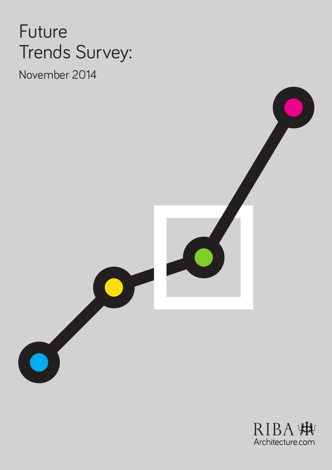# Future Trends Survey:

November 2014



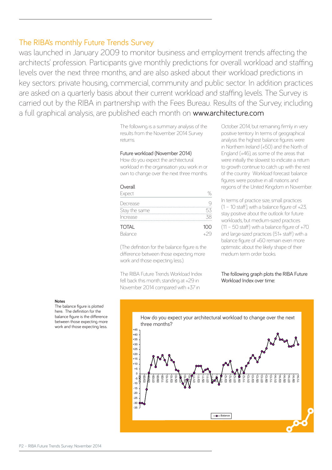was launched in January 2009 to monitor business and employment trends affecting the architects' profession. Participants give monthly predictions for overall workload and staffing levels over the next three months, and are also asked about their workload predictions in key sectors: private housing, commercial, community and public sector. In addition practices are asked on a quarterly basis about their current workload and staffing levels. The Survey is carried out by the RIBA in partnership with the Fees Bureau. Results of the Survey, including a full graphical analysis, are published each month on www.architecture.com

> The following is a summary analysis of the results from the November 2014 Survey returns.

#### Future workload (November 2014)

How do you expect the architectural workload in the organisation you work in or own to change over the next three months.

## **Overall**

| Expect        |     |
|---------------|-----|
| Decrease      |     |
| Stay the same | 53  |
| Increase      |     |
| <b>TOTAL</b>  | 100 |
| Balance       |     |

(The definition for the balance figure is the difference between those expecting more work and those expecting less.).

The RIBA Future Trends Workload Index fell back this month, standing at +29 in November 2014 compared with +37 in

October 2014, but remaining firmly in very positive territory. In terms of geographical analysis the highest balance figures were in Northern Ireland (+50) and the North of England (+46), as some of the areas that were initially the slowest to indicate a return to growth continue to catch up with the rest of the country. Workload forecast balance figures were positive in all nations and regions of the United Kingdom in November.

In terms of practice size, small practices  $(1 - 10 \text{ staff})$  with a balance figure of  $+23$ stay positive about the outlook for future workloads, but medium-sized practices  $(11 - 50$  staff) with a balance figure of  $+70$ and large-sized practices (51+ staff) with a balance figure of +60 remain even more optimistic about the likely shape of their medium term order books.

#### The following graph plots the RIBA Future Workload Index over time:

#### **Notes**

The balance figure is plotted here. The definition for the balance figure is the difference between those expecting more work and those expecting less.

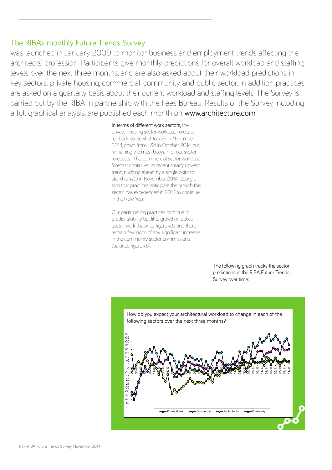was launched in January 2009 to monitor business and employment trends affecting the architects' profession. Participants give monthly predictions for overall workload and staffing levels over the next three months, and are also asked about their workload predictions in key sectors: private housing, commercial, community and public sector. In addition practices are asked on a quarterly basis about their current workload and staffing levels. The Survey is carried out by the RIBA in partnership with the Fees Bureau. Results of the Survey, including a full graphical analysis, are published each month on www.architecture.com

### In terms of different work sectors, the

private housing sector workload forecast fell back somewhat to +26 in November 2014, down from +34 in October 2014, but remaining the most buoyant of our sector forecasts. The commercial sector workload forecast continued its recent steady upward trend, nudging ahead by a single point to stand at +20 in November 2014; clearly a sign that practices anticipate the growth this sector has experienced in 2014 to continue in the New Year.

Our participating practices continue to predict stability but little growth in public sector work (balance figure +3) and there remain few signs of any significant increase in the community sector commissions (balance figure +5).

> The following graph tracks the sector predictions in the RIBA Future Trends Survey over time:

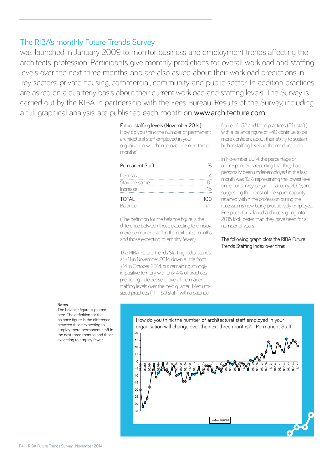was launched in January 2009 to monitor business and employment trends affecting the architects' profession. Participants give monthly predictions for overall workload and staffing levels over the next three months, and are also asked about their workload predictions in key sectors: private housing, commercial, community and public sector. In addition practices are asked on a quarterly basis about their current workload and staffing levels. The Survey is carried out by the RIBA in partnership with the Fees Bureau. Results of the Survey, including a full graphical analysis, are published each month on www.architecture.com

## Future staffing levels (November 2014)

How do you think the number of permanent architectural staff employed in your organisation will change over the next three months?

| Permanent Staff | ℅     |
|-----------------|-------|
| Decrease        |       |
| Stay the same   |       |
| Increase        | 15    |
| <b>TOTAL</b>    | 100   |
| Balance         | $+11$ |

(The definition for the balance figure is the difference between those expecting to employ more permanent staff in the next three months and those expecting to employ fewer.)

The RIBA Future Trends Staffing Index stands at +11 in November 2014, down a little from +14 in October 2014, but remaining strongly in positive territory, with only 4% of practices predicting a decrease in overall permanent staffing levels over the next quarter. Mediumsized practices (11 – 50 staff) with a balance

figure of +52 and large practices (51+ staff) with a balance figure of +40 continue to be more confident about their ability to sustain higher staffing levels in the medium term.

In November 2014, the percentage of our respondents reporting that they had personally been under-employed in the last month was 12%, representing the lowest level since our survey began in January 2009, and suggesting that most of the spare capacity retained within the profession during the recession is now being productively employed. Prospects for salaried architects going into 2015 look better than they have been for a number of years.

The following graph plots the RIBA Future Trends Staffing Index over time:

#### **Notes**

The balance figure is plotted here. The definition for the balance figure is the difference between those expecting to employ more permanent staff in the next three months and those expecting to employ fewer